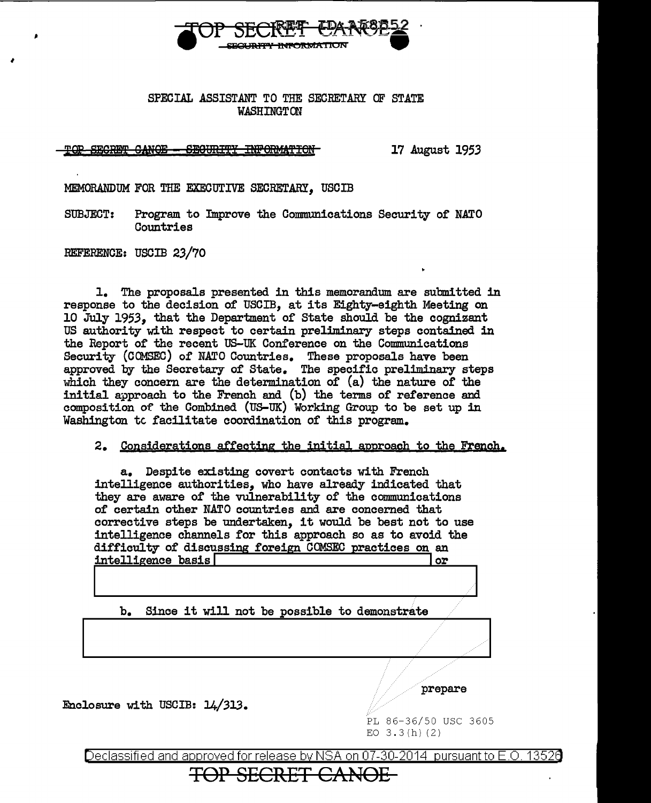

## SPECIAL ASSISTANT TO THE SECRETARY OF STATE **WASHINGTON**

TOP SECRET CANOE - SECURITY INFORMATION

17 August 1953

MEMORANDUM FOR THE EXECUTIVE SECRETARY. USCIB

**SUBJECT:** Program to Improve the Communications Security of NATO Countries

REFERENCE: USCIB 23/70

1. The proposals presented in this memorandum are submitted in response to the decision of USCIB, at its Eighty-eighth Meeting on 10 July 1953, that the Department of State should be the cognizant US authority with respect to certain preliminary steps contained in the Report of the recent US-UK Conference on the Communications Security (COMSEC) of NATO Countries. These proposals have been approved by the Secretary of State. The specific preliminary steps which they concern are the determination of  $(a)$  the nature of the initial approach to the French and (b) the terms of reference and composition of the Combined (US-UK) Working Group to be set up in Washington to facilitate coordination of this program.

2. Considerations affecting the initial approach to the French.

a. Despite existing covert contacts with French intelligence authorities. who have already indicated that they are aware of the vulnerability of the communications of certain other NATO countries and are concerned that corrective steps be undertaken, it would be best not to use intelligence channels for this approach so as to avoid the difficulty of discussing foreign COMSEC practices on an intelligence basis or

Since it will not be possible to demonstrate b.

Enclosure with USCIB: 14/313.

prepare

PL 86-36/50 USC 3605 EO  $3.3(h)(2)$ 

Declassified and approved for release by NSA on 07-30-2014 pursuant to E.O. 13526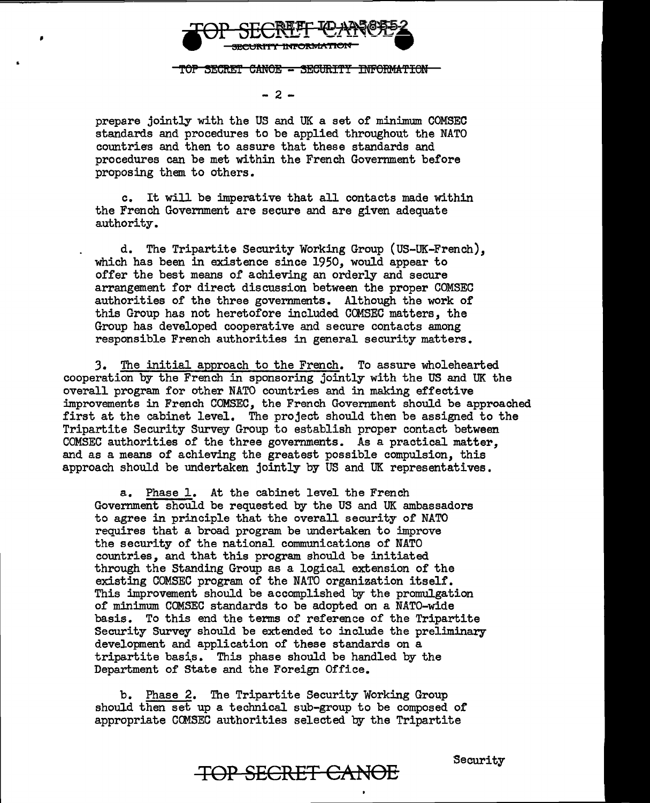

TOP SECRET CANOE - SECURITY INFORMATION

 $-2-$ 

prepare jointly with the US and UK a set of minimum COMSEC standards and procedures to be applied throughout the NATO countries and then to assure that these standards and procedures can be met within the French Government before proposing them to others.

c. It will be imperative that all contacts made within the French Government are secure and are given adequate authority.

d. The Tripartite Security Working Group (US-UK-French), which has been in existence since 1950, would appear to offer the best means of achieving an orderly and secure arrangement for direct discussion between the proper COMSEC authorities of the three governments. Although the work of this Group has not heretofore included COMSEC matters, the Group has developed cooperative and secure contacts among responsible French authorities in general security matters.

3. The initial approach to the French. To assure wholehearted cooperation by the French in sponsoring jointly with the US and UK the overall program for other NATO countries and in making effective improvements in French COMSEC, the French Government should be approached first at the cabinet level. The project should then be assigned to the Tripartite Security Survey Group to establish proper contact between COMSEC authorities of the three governments. As a practical matter, and as a means of achieving the greatest possible compulsion, this approach should be undertaken jointly by US and UK representatives.

a. Phase 1. At the cabinet level the French Government should be requested by the US and UK ambassadors to agree in principle that the overall security of NATO requires that a broad program be undertaken to improve the security of the national communications of NATO countries, and that this program should be initiated through the Standing Group as a logical extension of the existing COMSEC program of the NATO organization itself. This improvement should be accomplished by the promulgation of minimum COMSEC standards to be adopted on a NATO-wide basis. To this end the terms of reference of the Tripartite Security Survey should be extended to include the preliminary development and application of these standards on a tripartite basis. This phase should be handled by the Department of State and the Foreign Office.

b. Phase 2. The Tripartite Security Working Group should then set up a technical sub-group to be composed of appropriate COMSEC authorities selected by the Tripartite

**TOP SECRET CANOE** Security